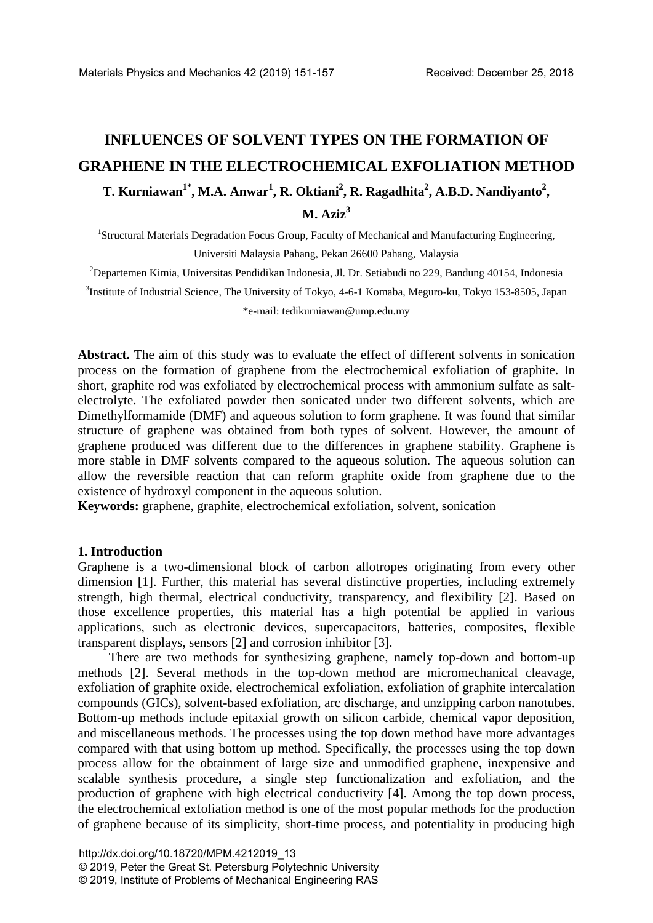# **INFLUENCES OF SOLVENT TYPES ON THE FORMATION OF GRAPHENE IN THE ELECTROCHEMICAL EXFOLIATION METHOD**  $\bf{T}.$  Kurniawan<sup>1\*</sup>, M.A. Anwar<sup>1</sup>, R. Oktiani<sup>2</sup>, R. Ragadhita<sup>2</sup>, A.B.D. Nandiyanto<sup>2</sup>, **M. Aziz3**

<sup>1</sup>Structural Materials Degradation Focus Group, Faculty of Mechanical and Manufacturing Engineering, Universiti Malaysia Pahang, Pekan 26600 Pahang, Malaysia

2 Departemen Kimia, Universitas Pendidikan Indonesia, Jl. Dr. Setiabudi no 229, Bandung 40154, Indonesia

<sup>3</sup>Institute of Industrial Science, The University of Tokyo, 4-6-1 Komaba, Meguro-ku, Tokyo 153-8505, Japan

\*e-mail: tedikurniawan@ump.edu.my

**Abstract.** The aim of this study was to evaluate the effect of different solvents in sonication process on the formation of graphene from the electrochemical exfoliation of graphite. In short, graphite rod was exfoliated by electrochemical process with ammonium sulfate as saltelectrolyte. The exfoliated powder then sonicated under two different solvents, which are Dimethylformamide (DMF) and aqueous solution to form graphene. It was found that similar structure of graphene was obtained from both types of solvent. However, the amount of graphene produced was different due to the differences in graphene stability. Graphene is more stable in DMF solvents compared to the aqueous solution. The aqueous solution can allow the reversible reaction that can reform graphite oxide from graphene due to the existence of hydroxyl component in the aqueous solution.

**Keywords:** graphene, graphite, electrochemical exfoliation, solvent, sonication

## **1. Introduction**

Graphene is a two-dimensional block of carbon allotropes originating from every other dimension [1]. Further, this material has several distinctive properties, including extremely strength, high thermal, electrical conductivity, transparency, and flexibility [2]. Based on those excellence properties, this material has a high potential be applied in various applications, such as electronic devices, supercapacitors, batteries, composites, flexible transparent displays, sensors [2] and corrosion inhibitor [3].

There are two methods for synthesizing graphene, namely top-down and bottom-up methods [2]. Several methods in the top-down method are micromechanical cleavage, exfoliation of graphite oxide, electrochemical exfoliation, exfoliation of graphite intercalation compounds (GICs), solvent-based exfoliation, arc discharge, and unzipping carbon nanotubes. Bottom-up methods include epitaxial growth on silicon carbide, chemical vapor deposition, and miscellaneous methods. The processes using the top down method have more advantages compared with that using bottom up method. Specifically, the processes using the top down process allow for the obtainment of large size and unmodified graphene, inexpensive and scalable synthesis procedure, a single step functionalization and exfoliation, and the production of graphene with high electrical conductivity [4]. Among the top down process, the electrochemical exfoliation method is one of the most popular methods for the production of graphene because of its simplicity, short-time process, and potentiality in producing high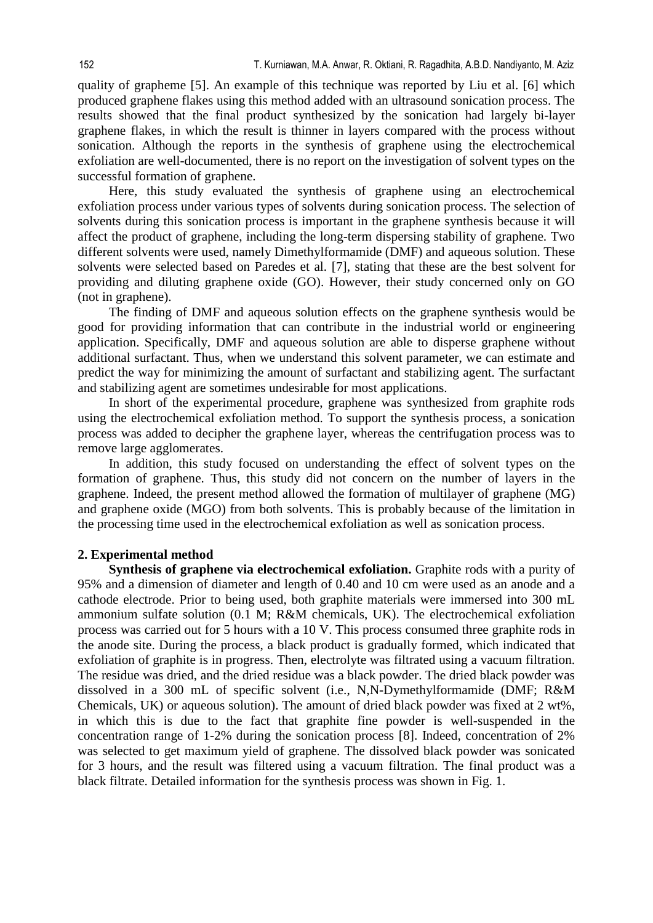quality of grapheme [5]. An example of this technique was reported by Liu et al. [6] which produced graphene flakes using this method added with an ultrasound sonication process. The results showed that the final product synthesized by the sonication had largely bi-layer graphene flakes, in which the result is thinner in layers compared with the process without sonication. Although the reports in the synthesis of graphene using the electrochemical exfoliation are well-documented, there is no report on the investigation of solvent types on the successful formation of graphene.

Here, this study evaluated the synthesis of graphene using an electrochemical exfoliation process under various types of solvents during sonication process. The selection of solvents during this sonication process is important in the graphene synthesis because it will affect the product of graphene, including the long-term dispersing stability of graphene. Two different solvents were used, namely Dimethylformamide (DMF) and aqueous solution. These solvents were selected based on Paredes et al. [7], stating that these are the best solvent for providing and diluting graphene oxide (GO). However, their study concerned only on GO (not in graphene).

The finding of DMF and aqueous solution effects on the graphene synthesis would be good for providing information that can contribute in the industrial world or engineering application. Specifically, DMF and aqueous solution are able to disperse graphene without additional surfactant. Thus, when we understand this solvent parameter, we can estimate and predict the way for minimizing the amount of surfactant and stabilizing agent. The surfactant and stabilizing agent are sometimes undesirable for most applications.

In short of the experimental procedure, graphene was synthesized from graphite rods using the electrochemical exfoliation method. To support the synthesis process, a sonication process was added to decipher the graphene layer, whereas the centrifugation process was to remove large agglomerates.

In addition, this study focused on understanding the effect of solvent types on the formation of graphene. Thus, this study did not concern on the number of layers in the graphene. Indeed, the present method allowed the formation of multilayer of graphene (MG) and graphene oxide (MGO) from both solvents. This is probably because of the limitation in the processing time used in the electrochemical exfoliation as well as sonication process.

## **2. Experimental method**

**Synthesis of graphene via electrochemical exfoliation.** Graphite rods with a purity of 95% and a dimension of diameter and length of 0.40 and 10 cm were used as an anode and a cathode electrode. Prior to being used, both graphite materials were immersed into 300 mL ammonium sulfate solution (0.1 M; R&M chemicals, UK). The electrochemical exfoliation process was carried out for 5 hours with a 10 V. This process consumed three graphite rods in the anode site. During the process, a black product is gradually formed, which indicated that exfoliation of graphite is in progress. Then, electrolyte was filtrated using a vacuum filtration. The residue was dried, and the dried residue was a black powder. The dried black powder was dissolved in a 300 mL of specific solvent (i.e., N,N-Dymethylformamide (DMF; R&M Chemicals, UK) or aqueous solution). The amount of dried black powder was fixed at 2 wt%, in which this is due to the fact that graphite fine powder is well-suspended in the concentration range of 1-2% during the sonication process [8]. Indeed, concentration of 2% was selected to get maximum yield of graphene. The dissolved black powder was sonicated for 3 hours, and the result was filtered using a vacuum filtration. The final product was a black filtrate. Detailed information for the synthesis process was shown in Fig. 1.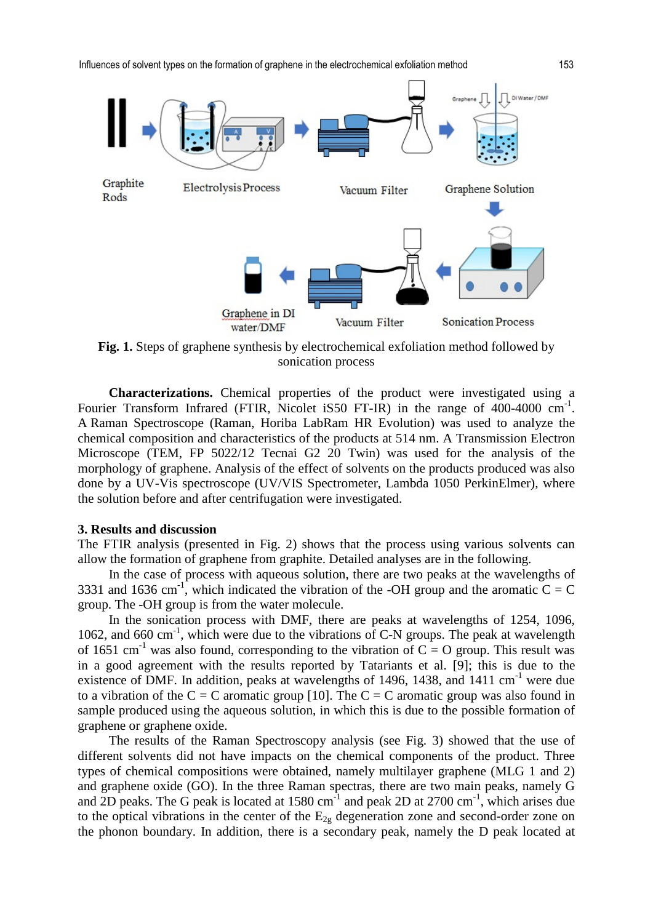Influences of solvent types on the formation of graphene in the electrochemical exfoliation method 153



sonication process

**Characterizations.** Chemical properties of the product were investigated using a Fourier Transform Infrared (FTIR, Nicolet iS50 FT-IR) in the range of 400-4000 cm<sup>-1</sup>. A Raman Spectroscope (Raman, Horiba LabRam HR Evolution) was used to analyze the chemical composition and characteristics of the products at 514 nm. A Transmission Electron Microscope (TEM, FP 5022/12 Tecnai G2 20 Twin) was used for the analysis of the morphology of graphene. Analysis of the effect of solvents on the products produced was also done by a UV-Vis spectroscope (UV/VIS Spectrometer, Lambda 1050 PerkinElmer), where the solution before and after centrifugation were investigated.

#### **3. Results and discussion**

The FTIR analysis (presented in Fig. 2) shows that the process using various solvents can allow the formation of graphene from graphite. Detailed analyses are in the following.

In the case of process with aqueous solution, there are two peaks at the wavelengths of 3331 and 1636 cm<sup>-1</sup>, which indicated the vibration of the -OH group and the aromatic C = C group. The -OH group is from the water molecule.

In the sonication process with DMF, there are peaks at wavelengths of 1254, 1096, 1062, and 660 cm<sup>-1</sup>, which were due to the vibrations of C-N groups. The peak at wavelength of 1651 cm<sup>-1</sup> was also found, corresponding to the vibration of  $C = O$  group. This result was in a good agreement with the results reported by Tatariants et al. [9]; this is due to the existence of DMF. In addition, peaks at wavelengths of 1496, 1438, and 1411 cm<sup>-1</sup> were due to a vibration of the C = C aromatic group [10]. The C = C aromatic group was also found in sample produced using the aqueous solution, in which this is due to the possible formation of graphene or graphene oxide.

The results of the Raman Spectroscopy analysis (see Fig. 3) showed that the use of different solvents did not have impacts on the chemical components of the product. Three types of chemical compositions were obtained, namely multilayer graphene (MLG 1 and 2) and graphene oxide (GO). In the three Raman spectras, there are two main peaks, namely G and 2D peaks. The G peak is located at  $1580 \text{ cm}^{-1}$  and peak 2D at  $2700 \text{ cm}^{-1}$ , which arises due to the optical vibrations in the center of the  $E_{2g}$  degeneration zone and second-order zone on the phonon boundary. In addition, there is a secondary peak, namely the D peak located at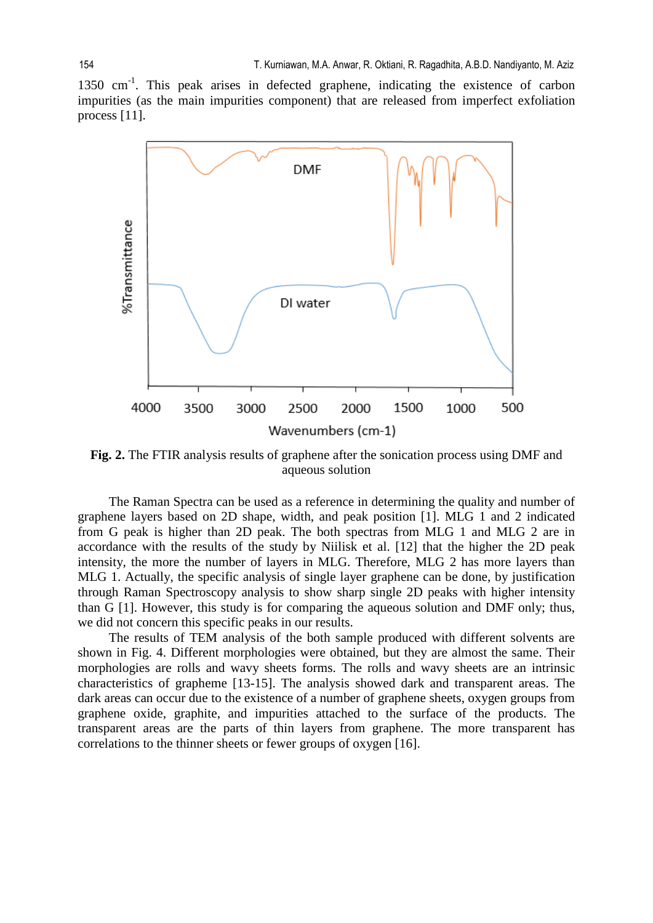1350 cm-1. This peak arises in defected graphene, indicating the existence of carbon impurities (as the main impurities component) that are released from imperfect exfoliation process [11].



**Fig. 2.** The FTIR analysis results of graphene after the sonication process using DMF and aqueous solution

The Raman Spectra can be used as a reference in determining the quality and number of graphene layers based on 2D shape, width, and peak position [1]. MLG 1 and 2 indicated from G peak is higher than 2D peak. The both spectras from MLG 1 and MLG 2 are in accordance with the results of the study by Niilisk et al. [12] that the higher the 2D peak intensity, the more the number of layers in MLG. Therefore, MLG 2 has more layers than MLG 1. Actually, the specific analysis of single layer graphene can be done, by justification through Raman Spectroscopy analysis to show sharp single 2D peaks with higher intensity than G [1]. However, this study is for comparing the aqueous solution and DMF only; thus, we did not concern this specific peaks in our results.

The results of TEM analysis of the both sample produced with different solvents are shown in Fig. 4. Different morphologies were obtained, but they are almost the same. Their morphologies are rolls and wavy sheets forms. The rolls and wavy sheets are an intrinsic characteristics of grapheme [13-15]. The analysis showed dark and transparent areas. The dark areas can occur due to the existence of a number of graphene sheets, oxygen groups from graphene oxide, graphite, and impurities attached to the surface of the products. The transparent areas are the parts of thin layers from graphene. The more transparent has correlations to the thinner sheets or fewer groups of oxygen [16].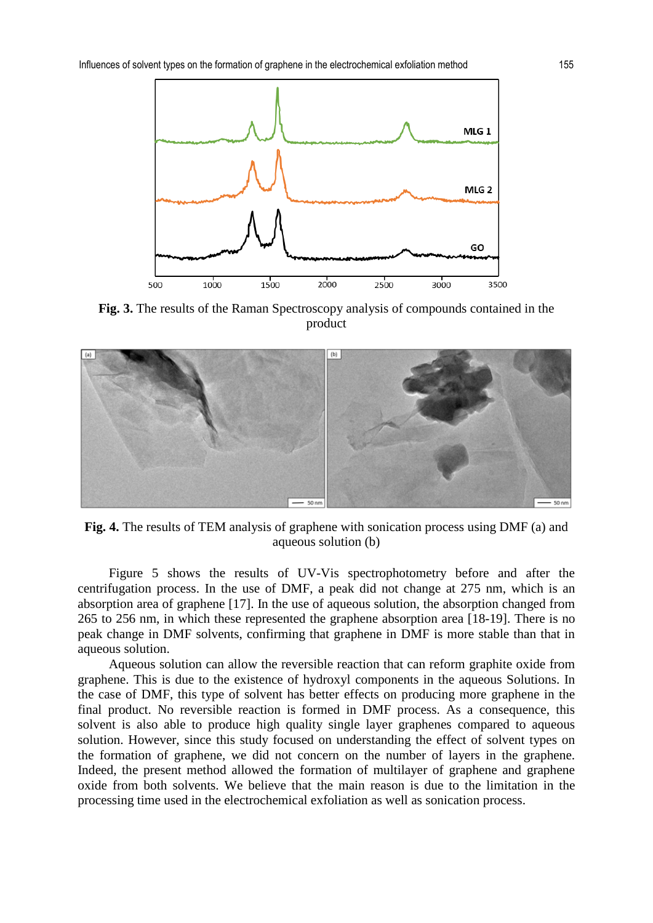

**Fig. 3.** The results of the Raman Spectroscopy analysis of compounds contained in the product



**Fig. 4.** The results of TEM analysis of graphene with sonication process using DMF (a) and aqueous solution (b)

Figure 5 shows the results of UV-Vis spectrophotometry before and after the centrifugation process. In the use of DMF, a peak did not change at 275 nm, which is an absorption area of graphene [17]. In the use of aqueous solution, the absorption changed from 265 to 256 nm, in which these represented the graphene absorption area [18-19]. There is no peak change in DMF solvents, confirming that graphene in DMF is more stable than that in aqueous solution.

Aqueous solution can allow the reversible reaction that can reform graphite oxide from graphene. This is due to the existence of hydroxyl components in the aqueous Solutions. In the case of DMF, this type of solvent has better effects on producing more graphene in the final product. No reversible reaction is formed in DMF process. As a consequence, this solvent is also able to produce high quality single layer graphenes compared to aqueous solution. However, since this study focused on understanding the effect of solvent types on the formation of graphene, we did not concern on the number of layers in the graphene. Indeed, the present method allowed the formation of multilayer of graphene and graphene oxide from both solvents. We believe that the main reason is due to the limitation in the processing time used in the electrochemical exfoliation as well as sonication process.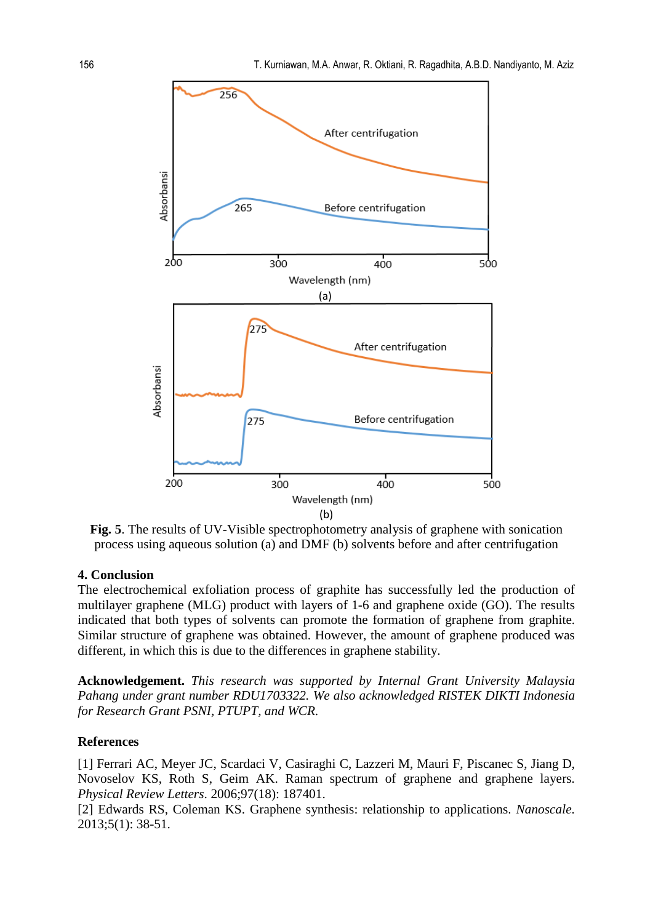

**Fig. 5**. The results of UV-Visible spectrophotometry analysis of graphene with sonication process using aqueous solution (a) and DMF (b) solvents before and after centrifugation

## **4. Conclusion**

The electrochemical exfoliation process of graphite has successfully led the production of multilayer graphene (MLG) product with layers of 1-6 and graphene oxide (GO). The results indicated that both types of solvents can promote the formation of graphene from graphite. Similar structure of graphene was obtained. However, the amount of graphene produced was different, in which this is due to the differences in graphene stability.

**Acknowledgement.** *This research was supported by Internal Grant University Malaysia Pahang under grant number RDU1703322. We also acknowledged RISTEK DIKTI Indonesia for Research Grant PSNI, PTUPT, and WCR.*

### **References**

[1] Ferrari AC, Meyer JC, Scardaci V, Casiraghi C, Lazzeri M, Mauri F, Piscanec S, Jiang D, Novoselov KS, Roth S, Geim AK. Raman spectrum of graphene and graphene layers. *Physical Review Letters*. 2006;97(18): 187401.

[2] Edwards RS, Coleman KS. Graphene synthesis: relationship to applications. *Nanoscale*. 2013;5(1): 38-51.